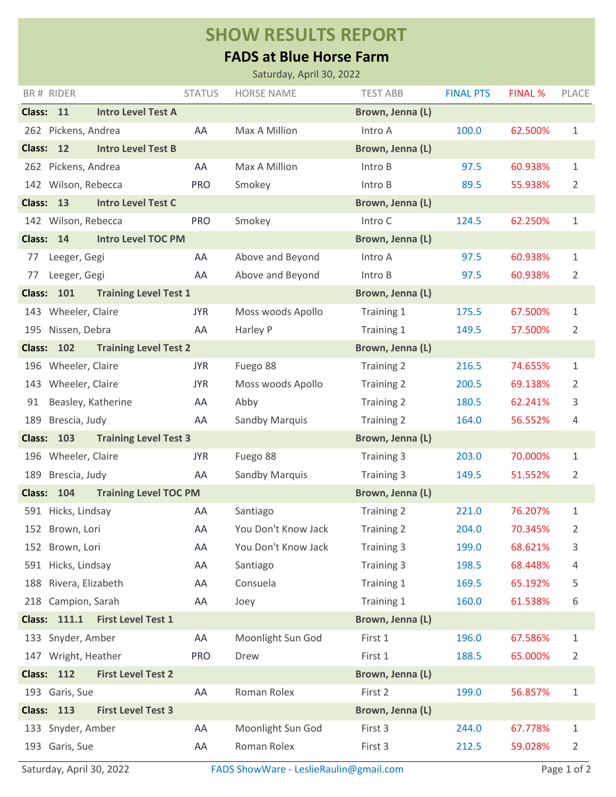## **SHOW RESULTS REPORT**

## **FADS at Blue Horse Farm**

|                                                   |               | Saturday, April 30, 2022 |                   |                  |                |              |
|---------------------------------------------------|---------------|--------------------------|-------------------|------------------|----------------|--------------|
| BR# RIDER                                         | <b>STATUS</b> | <b>HORSE NAME</b>        | <b>TEST ABB</b>   | <b>FINAL PTS</b> | <b>FINAL %</b> | <b>PLACE</b> |
| <b>Intro Level Test A</b><br>Class: 11            |               |                          | Brown, Jenna (L)  |                  |                |              |
| 262 Pickens, Andrea                               | AA            | Max A Million            | Intro A           | 100.0            | 62.500%        | $\mathbf{1}$ |
| 12<br><b>Intro Level Test B</b><br><b>Class:</b>  |               |                          | Brown, Jenna (L)  |                  |                |              |
| 262 Pickens, Andrea                               | AA            | Max A Million            | Intro B           | 97.5             | 60.938%        | 1            |
| 142 Wilson, Rebecca                               | <b>PRO</b>    | Smokey                   | Intro B           | 89.5             | 55.938%        | 2            |
| <b>Intro Level Test C</b><br>Class: 13            |               |                          | Brown, Jenna (L)  |                  |                |              |
| 142 Wilson, Rebecca                               | <b>PRO</b>    | Smokey                   | Intro C           | 124.5            | 62.250%        | $\mathbf{1}$ |
| <b>Intro Level TOC PM</b><br>Class: 14            |               |                          | Brown, Jenna (L)  |                  |                |              |
| Leeger, Gegi<br>77                                | AA            | Above and Beyond         | Intro A           | 97.5             | 60.938%        | 1            |
| Leeger, Gegi<br>77                                | AA            | Above and Beyond         | Intro B           | 97.5             | 60.938%        | 2            |
| <b>Class: 101</b><br><b>Training Level Test 1</b> |               |                          | Brown, Jenna (L)  |                  |                |              |
| Wheeler, Claire<br>143                            | <b>JYR</b>    | Moss woods Apollo        | Training 1        | 175.5            | 67.500%        | 1            |
| 195 Nissen, Debra                                 | AA            | Harley P                 | Training 1        | 149.5            | 57.500%        | 2            |
| <b>Class: 102</b><br><b>Training Level Test 2</b> |               |                          | Brown, Jenna (L)  |                  |                |              |
| 196 Wheeler, Claire                               | <b>JYR</b>    | Fuego 88                 | Training 2        | 216.5            | 74.655%        | 1            |
| 143 Wheeler, Claire                               | <b>JYR</b>    | Moss woods Apollo        | <b>Training 2</b> | 200.5            | 69.138%        | 2            |
| Beasley, Katherine<br>91                          | AA            | Abby                     | Training 2        | 180.5            | 62.241%        | 3            |
| Brescia, Judy<br>189                              | AA            | Sandby Marquis           | <b>Training 2</b> | 164.0            | 56.552%        | 4            |
| <b>Class: 103</b><br><b>Training Level Test 3</b> |               |                          | Brown, Jenna (L)  |                  |                |              |
| 196 Wheeler, Claire                               | <b>JYR</b>    | Fuego 88                 | Training 3        | 203.0            | 70.000%        | 1            |
| 189 Brescia, Judy                                 | AA            | Sandby Marquis           | Training 3        | 149.5            | 51.552%        | 2            |
| <b>Class: 104</b><br><b>Training Level TOC PM</b> |               |                          | Brown, Jenna (L)  |                  |                |              |
| 591 Hicks, Lindsay                                | AA            | Santiago                 | Training 2        | 221.0            | 76.207%        | 1            |
| 152 Brown, Lori                                   | AA            | You Don't Know Jack      | Training 2        | 204.0            | 70.345%        | 2            |
| Brown, Lori<br>152                                | AA            | You Don't Know Jack      | Training 3        | 199.0            | 68.621%        | 3            |
| 591 Hicks, Lindsay                                | AA            | Santiago                 | Training 3        | 198.5            | 68.448%        | 4            |
| 188 Rivera, Elizabeth                             | AA            | Consuela                 | Training 1        | 169.5            | 65.192%        | 5            |
| Campion, Sarah<br>218                             | AA            | Joey                     | Training 1        | 160.0            | 61.538%        | 6            |
| Class: 111.1<br><b>First Level Test 1</b>         |               |                          | Brown, Jenna (L)  |                  |                |              |
| 133 Snyder, Amber                                 | AA            | Moonlight Sun God        | First 1           | 196.0            | 67.586%        | 1            |
| 147 Wright, Heather                               | <b>PRO</b>    | Drew                     | First 1           | 188.5            | 65.000%        | 2            |
| <b>Class: 112</b><br><b>First Level Test 2</b>    |               |                          | Brown, Jenna (L)  |                  |                |              |
| 193 Garis, Sue                                    | AA            | Roman Rolex              | First 2           | 199.0            | 56.857%        | 1            |
| <b>Class: 113</b><br><b>First Level Test 3</b>    |               |                          | Brown, Jenna (L)  |                  |                |              |
| 133 Snyder, Amber                                 | AA            | Moonlight Sun God        | First 3           | 244.0            | 67.778%        | 1            |
| 193 Garis, Sue                                    | AA            | Roman Rolex              | First 3           | 212.5            | 59.028%        | 2            |
|                                                   |               |                          |                   |                  |                |              |